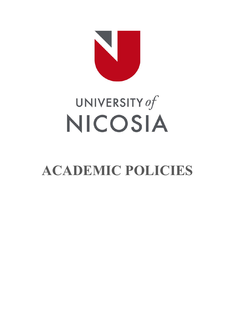

# UNIVERSITY of NICOSIA

# **ACADEMIC POLICIES**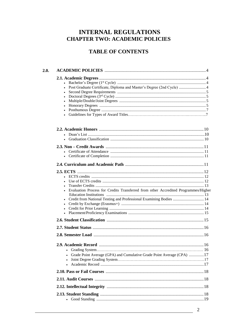# **INTERNAL REGULATIONS CHAPTER TWO: ACADEMIC POLICIES**

# **TABLE OF CONTENTS**

| $\bullet$<br>٠ | Post Graduate Certificate, Diploma and Master's Degree (2nd Cycle)  4                                                                                      |     |
|----------------|------------------------------------------------------------------------------------------------------------------------------------------------------------|-----|
|                |                                                                                                                                                            |     |
|                |                                                                                                                                                            |     |
|                |                                                                                                                                                            |     |
|                | Evaluation Process for Credits Transferred from other Accredited Programmes/Higher<br>• Credit from National Testing and Professional Examining Bodies  14 |     |
|                |                                                                                                                                                            |     |
|                |                                                                                                                                                            |     |
|                |                                                                                                                                                            |     |
|                | Grade Point Average (GPA) and Cumulative Grade Point Average (CPA) 17                                                                                      | .16 |
|                |                                                                                                                                                            |     |
|                |                                                                                                                                                            |     |
|                |                                                                                                                                                            |     |
|                |                                                                                                                                                            |     |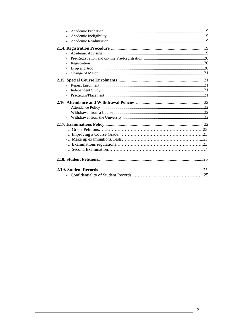| ٠              |  |
|----------------|--|
|                |  |
| $\blacksquare$ |  |
|                |  |
| $\blacksquare$ |  |
| $\blacksquare$ |  |
|                |  |
| ٠.             |  |
|                |  |
|                |  |
|                |  |
|                |  |
|                |  |
|                |  |
|                |  |
|                |  |
|                |  |
|                |  |
|                |  |
|                |  |
|                |  |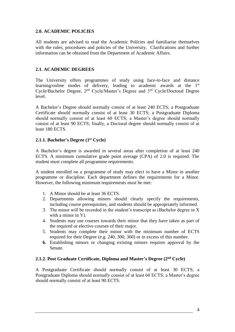# **2.0. ACADEMIC POLICIES**

All students are advised to read the Academic Policies and familiarise themselves with the rules, procedures and policies of the University. Clarifications and further information can be obtained from the Department of Academic Affairs.

# **2.1. ACADEMIC DEGREES**

The University offers programmes of study using face-to-face and distance learning/online modes of delivery, leading to academic awards at the 1<sup>st</sup> Cycle/Bachelor Degree, 2nd Cycle/Master's Degree and 3rd Cycle/Doctoral Degree level.

A Bachelor's Degree should normally consist of at least 240 ECTS; a Postgraduate Certificate should normally consist of at least 30 ECTS; a Postgraduate Diploma should normally consist of at least 60 ECTS; a Master's degree should normally consist of at least 90 ECTS; finally, a Doctoral degree should normally consist of at least 180 ECTS.

# **2.1.1. Bachelor's Degree (1st Cycle)**

A Bachelor's degree is awarded in several areas after completion of at least 240 ECTS. A minimum cumulative grade point average (CPA) of 2.0 is required. The student must complete all programme requirements.

A student enrolled on a programme of study may elect to have a Minor in another programme or discipline. Each department defines the requirements for a Minor. However, the following minimum requirements must be met:

- 1. A Minor should be at least 36 ECTS.
- 2. Departments allowing minors should clearly specify the requirements, including course prerequisites, and students should be appropriately informed.
- 3. The minor will be recorded in the student's transcript as (Bachelor degree in X with a minor in Y).
- 4. Students may use courses towards their minor that they have taken as part of the required or elective courses of their major.
- 5. Students may complete their minor with the minimum number of ECTS required for their Degree (e.g. 240, 300, 360) or in excess of this number.
- **6.** Establishing minors or changing existing minors requires approval by the Senate.

#### **2.1.2. Post Graduate Certificate, Diploma and Master's Degree (2nd Cycle)**

A Postgraduate Certificate should normally consist of at least 30 ECTS; a Postgraduate Diploma should normally consist of at least 60 ECTS; a Master's degree should normally consist of at least 90 ECTS.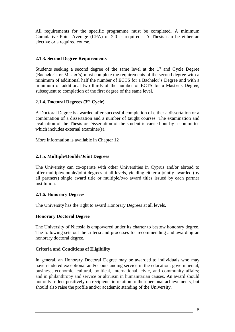All requirements for the specific programme must be completed. A minimum Cumulative Point Average (CPA) of 2.0 is required. A Thesis can be either an elective or a required course.

# **2.1.3. Second Degree Requirements**

Students seeking a second degree of the same level at the  $1<sup>st</sup>$  and Cycle Degree (Bachelor's or Master's) must complete the requirements of the second degree with a minimum of additional half the number of ECTS for a Bachelor's Degree and with a minimum of additional two thirds of the number of ECTS for a Master's Degree, subsequent to completion of the first degree of the same level.

# **2.1.4. Doctoral Degrees (3rd Cycle)**

A Doctoral Degree is awarded after successful completion of either a dissertation or a combination of a dissertation and a number of taught courses. The examination and evaluation of the Thesis or Dissertation of the student is carried out by a committee which includes external examiner(s).

More information is available in Chapter 12

# **2.1.5. Multiple/Double/Joint Degrees**

The University can co-operate with other Universities in Cyprus and/or abroad to offer multiple/double/joint degrees at all levels, yielding either a jointly awarded (by all partners) single award title or multiple/two award titles issued by each partner institution.

#### **2.1.6. Honorary Degrees**

The University has the right to award Honorary Degrees at all levels.

#### **Honorary Doctoral Degree**

The University of Nicosia is empowered under its charter to bestow honorary degree. The following sets out the criteria and processes for recommending and awarding an honorary doctoral degree.

#### **Criteria and Conditions of Eligibility**

In general, an Honorary Doctoral Degree may be awarded to individuals who may have rendered exceptional and/or outstanding service in the education, governmental, business, economic, cultural, political, international, civic, and community affairs; and in philanthropy and service or altruism in humanitarian causes. An award should not only reflect positively on recipients in relation to their personal achievements, but should also raise the profile and/or academic standing of the University.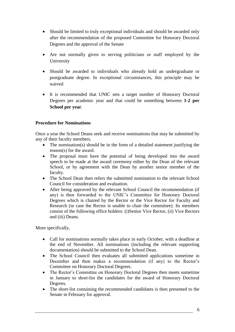- Should be limited to truly exceptional individuals and should be awarded only after the recommendation of the proposed Committee for Honorary Doctoral Degrees and the approval of the Senate
- Are not normally given to serving politicians or staff employed by the University
- Should be awarded to individuals who already hold an undergraduate or postgraduate degree. In exceptional circumstances, this principle may be waived
- It is recommended that UNIC sets a target number of Honorary Doctoral Degrees per academic year and that could be something between **1-2 per School per year**.

# **Procedure for Nominations**

Once a year the School Deans seek and receive nominations that may be submitted by any of their faculty members.

- The nomination(s) should be in the form of a detailed statement justifying the reason(s) for the award.
- The proposal must have the potential of being developed into the award speech to be made at the award ceremony either by the Dean of the relevant School, or by agreement with the Dean by another senior member of the faculty.
- The School Dean then refers the submitted nomination to the relevant School Council for consideration and evaluation.
- After being approved by the relevant School Council the recommendation (if any) is then forwarded to the UNIC's Committee for Honorary Doctoral Degrees which is chaired by the Rector or the Vice Rector for Faculty and Research (in case the Rector is unable to chair the committee). Its members consist of the following office holders: (i)Senior Vice Rector, (ii) Vice Rectors and (iii) Deans.

More specifically,

- Call for nominations normally takes place in early October, with a deadline at the end of November. All nominations (including the relevant supporting documentation) should be submitted to the School Dean.
- The School Council then evaluates all submitted applications sometime in December and then makes a recommendation (if any) to the Rector's Committee on Honorary Doctoral Degrees.
- The Rector's Committee on Honorary Doctoral Degrees then meets sometime in January to short-list the candidates for the award of Honorary Doctoral Degrees.
- The short-list containing the recommended candidates is then presented to the Senate in February for approval.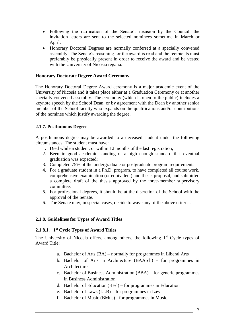- Following the ratification of the Senate's decision by the Council, the invitation letters are sent to the selected nominees sometime in March or April.
- Honorary Doctoral Degrees are normally conferred at a specially convened assembly. The Senate's reasoning for the award is read and the recipients must preferably be physically present in order to receive the award and be vested with the University of Nicosia regalia.

#### **Honorary Doctorate Degree Award Ceremony**

The Honorary Doctoral Degree Award ceremony is a major academic event of the University of Nicosia and it takes place either at a Graduation Ceremony or at another specially convened assembly. The ceremony (which is open to the public) includes a keynote speech by the School Dean, or by agreement with the Dean by another senior member of the School faculty who expands on the qualifications and/or contributions of the nominee which justify awarding the degree.

#### **2.1.7. Posthumous Degree**

A posthumous degree may be awarded to a deceased student under the following circumstances. The student must have:

- 1. Died while a student, or within 12 months of the last registration;
- 2. Been in good academic standing of a high enough standard that eventual graduation was expected;
- 3. Completed 75% of the undergraduate or postgraduate program requirements
- 4. For a graduate student in a Ph.D. program, to have completed all course work, comprehensive examination (or equivalent) and thesis proposal, and submitted a complete draft of the thesis approved by the three-member supervisory committee.
- 5. For professional degrees, it should be at the discretion of the School with the approval of the Senate.
- 6. The Senate may, in special cases, decide to wave any of the above criteria.

#### **2.1.8. Guidelines for Types of Award Titles**

#### **2.1.8.1. 1 st Cycle Types of Award Titles**

The University of Nicosia offers, among others, the following  $1<sup>st</sup>$  Cycle types of Award Title:

- a. Bachelor of Arts (BA) normally for programmes in Liberal Arts
- b. Bachelor of Arts in Architecture (BAArch) for programmes in Architecture
- c. Bachelor of Business Administration (BBA) for generic programmes in Business Administration
- d. Bachelor of Education (BEd) for programmes in Education
- e. Bachelor of Laws (LLB) for programmes in Law
- f. Bachelor of Music (BMus) for programmes in Music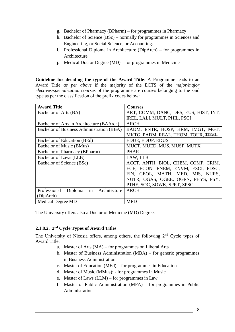- g. Bachelor of Pharmacy (BPharm) for programmes in Pharmacy
- h. Bachelor of Science (BSc) normally for programmes in Sciences and Engineering, or Social Science, or Accounting.
- i. Professional Diploma in Architecture (DipArch) for programmes in Architecture
- j. Medical Doctor Degree (MD) for programmes in Medicine

**Guideline for deciding the type of the Award Title**: A Programme leads to an Award Title *as per above* if the majority of the ECTS of the *major/major electives/specialization courses* of the programme are courses belonging to the said type as per the classification of the prefix codes below:

| <b>Award Title</b>                         | <b>Courses</b>                        |  |  |
|--------------------------------------------|---------------------------------------|--|--|
| Bachelor of Arts (BA)                      | ART, COMM, DANC, DES, EUS, HIST, INT, |  |  |
|                                            | IREL, LALI, MULT, PHIL, PSCI          |  |  |
| Bachelor of Arts in Architecture (BAArch)  | <b>ARCH</b>                           |  |  |
| Bachelor of Business Administration (BBA)  | BADM, ENTR, HOSP, HRM, IMGT, MGT,     |  |  |
|                                            | MKTG, PADM, REAL, THOM, TOUR, TRVL    |  |  |
| Bachelor of Education (BEd)                | EDUE, EDUP, EDUS                      |  |  |
| Bachelor of Music (BMus)                   | MUCT, MUED, MUS, MUSP, MUTX           |  |  |
| Bachelor of Pharmacy (BPharm)              | <b>PHAR</b>                           |  |  |
| Bachelor of Laws (LLB)                     | LAW, LLB                              |  |  |
| Bachelor of Science (BSc)                  | ACCT, ANTH, BIOL, CHEM, COMP, CRIM,   |  |  |
|                                            | ECE, ECON, ENEM, ENVM, ESCI, FDSC,    |  |  |
|                                            | FIN, GEOL, MATH, MED, MIS, NURS,      |  |  |
|                                            | NUTR, OGAS, OGEE, OGEN, PHYS, PSY,    |  |  |
|                                            | PTHE, SOC, SOWK, SPRT, SPSC           |  |  |
| in Architecture<br>Professional<br>Diploma | <b>ARCH</b>                           |  |  |
| (DipArch)                                  |                                       |  |  |
| <b>Medical Degree MD</b>                   | <b>MED</b>                            |  |  |

The University offers also a Doctor of Medicine (MD) Degree.

#### **2.1.8.2. 2 nd Cycle Types of Award Titles**

The University of Nicosia offers, among others, the following 2nd Cycle types of Award Title:

- a. Master of Arts (MA) for programmes on Liberal Arts
- b. Master of Business Administration (MBA) for generic programmes in Business Administration
- c. Master of Education (MEd) for programmes in Education
- d. Master of Music (MMus): for programmes in Music
- e. Master of Laws (LLM) for programmes in Law
- f. Master of Public Administration (MPA) for programmes in Public Administration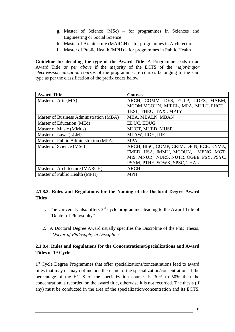- g. Master of Science (MSc) for programmes in Sciences and Engineering or Social Science
- h. Master of Architecture (MARCH) for programmes in Architecture
- i. Master of Public Health (MPH) for programmes in Public Health

**Guideline for deciding the type of the Award Title**: A Programme leads to an Award Title *as per above* if the majority of the ECTS of the *major/major electives/specialization courses* of the programme are courses belonging to the said type as per the classification of the prefix codes below:

| <b>Award Title</b>                      | <b>Courses</b>                           |
|-----------------------------------------|------------------------------------------|
| Master of Arts (MA)                     | ARCH, COMM, DES, EULP, GDES, MABM,       |
|                                         | MCOM, MCOUN, MIREL, MPA, MULT, PHOT,     |
|                                         | TESL, THEO, TAX, MPTY                    |
| Master of Business Administration (MBA) | MBA, MBALN, MBAN                         |
| Master of Education (MEd)               | EDUC, EDUG                               |
| Master of Music (MMus)                  | MUCT, MUED, MUSP                         |
| Master of Laws (LLM)                    | MLAW, $\Pi OY$ , $\Pi$ IE                |
| Master of Public Administration (MPA)   | <b>MPA</b>                               |
| Master of Science (MSc)                 | ARCH, BISC, COMP, CRIM, DFIN, ECE, ENMA, |
|                                         | FMED, HSA, IMMU, MCOUN, MENG, MGT,       |
|                                         | MIS, MNUR, NURS, NUTR, OGEE, PSY, PSYC,  |
|                                         | PSYM, PTHE, SOWK, SPSC, THAL             |
| Master of Architecture (MARCH)          | <b>ARCH</b>                              |
| Master of Public Health (MPH)           | <b>MPH</b>                               |

# **2.1.8.3. Rules and Regulations for the Naming of the Doctoral Degree Award Titles**

- 1. The University also offers  $3<sup>rd</sup>$  cycle programmes leading to the Award Title of "Doctor of Philosophy".
- *2.* A Doctoral Degree Award usually specifies the Discipline of the PhD Thesis*, "Doctor of Philosophy in Discipline"*

# **2.1.8.4. Rules and Regulations for the Concentrations/Specializations and Award Titles of 1st Cycle**

1<sup>st</sup> Cycle Degree Programmes that offer specializations/concentrations lead to award titles that may or may not include the name of the specialization/concentration. If the percentage of the ECTS of the specialization courses is 30% to 50% then the concentration is recorded on the award title, otherwise it is not recorded. The thesis (if any) must be conducted in the area of the specialization/concentration and its ECTS,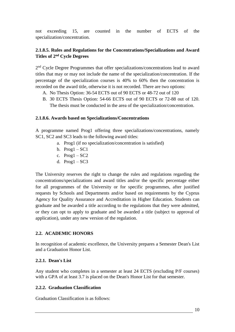not exceeding 15, are counted in the number of ECTS of the specialization/concentration.

# **2.1.8.5. Rules and Regulations for the Concentrations/Specializations and Award Titles of 2nd Cycle Degrees**

2<sup>nd</sup> Cycle Degree Programmes that offer specializations/concentrations lead to award titles that may or may not include the name of the specialization/concentration. If the percentage of the specialization courses is 40% to 60% then the concentration is recorded on the award title, otherwise it is not recorded. There are two options:

- A. No Thesis Option: 36-54 ECTS out of 90 ECTS or 48-72 out of 120
- B. 30 ECTS Thesis Option: 54-66 ECTS out of 90 ECTS or 72-88 out of 120. The thesis must be conducted in the area of the specialization/concentration.

#### **2.1.8.6. Awards based on Specializations/Concentrations**

A programme named Prog1 offering three specializations/concentrations, namely SC1, SC2 and SC3 leads to the following award titles:

- a. Prog1 (if no specialization/concentration is satisfied)
- b.  $Prog1 SC1$
- c.  $Prog1 SC2$
- d.  $Prog1 SC3$

The University reserves the right to change the rules and regulations regarding the concentrations/specializations and award titles and/or the specific percentage either for all programmes of the University or for specific programmes, after justified requests by Schools and Departments and/or based on requirements by the Cyprus Agency for Quality Assurance and Accreditation in Higher Education. Students can graduate and be awarded a title according to the regulations that they were admitted, or they can opt to apply to graduate and be awarded a title (subject to approval of application), under any new version of the regulation.

#### **2.2. ACADEMIC HONORS**

In recognition of academic excellence, the University prepares a Semester Dean's List and a Graduation Honor List.

#### **2.2.1. Dean's List**

Any student who completes in a semester at least 24 ECTS (excluding P/F courses) with a GPA of at least 3.7 is placed on the Dean's Honor List for that semester.

#### **2.2.2. Graduation Classification**

Graduation Classification is as follows: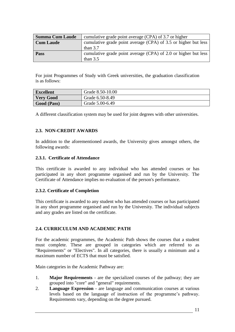| <b>Summa Cum Laude</b> | cumulative grade point average (CPA) of 3.7 or higher          |
|------------------------|----------------------------------------------------------------|
| <b>Cum Laude</b>       | cumulative grade point average (CPA) of 3.5 or higher but less |
|                        | than $3.7$                                                     |
| Pass                   | cumulative grade point average (CPA) of 2.0 or higher but less |
|                        | than $3.5$                                                     |

For joint Programmes of Study with Greek universities, the graduation classification is as follows:

| <b>Excellent</b> | Grade 8.50-10.00 |
|------------------|------------------|
| <b>Very Good</b> | Grade 6.50-8.49  |
| Good (Pass)      | Grade 5.00-6.49  |

A different classification system may be used for joint degrees with other universities.

#### **2.3. NON-CREDIT AWARDS**

In addition to the aforementioned awards, the University gives amongst others, the following awards:

#### **2.3.1. Certificate of Attendance**

This certificate is awarded to any individual who has attended courses or has participated in any short programme organised and run by the University. The Certificate of Attendance implies no evaluation of the person's performance.

#### **2.3.2. Certificate of Completion**

This certificate is awarded to any student who has attended courses or has participated in any short programme organised and run by the University. The individual subjects and any grades are listed on the certificate.

#### **2.4. CURRICULUM AND ACADEMIC PATH**

For the academic programmes, the Academic Path shows the courses that a student must complete. These are grouped in categories which are referred to as "Requirements" or "Electives". In all categories, there is usually a minimum and a maximum number of ECTS that must be satisfied.

Main categories in the Academic Pathway are:

- 1. **Major Requirements**  are the specialized courses of the pathway; they are grouped into "core" and "general" requirements.
- 2. **Language Expression** are language and communication courses at various levels based on the language of instruction of the programme's pathway. Requirements vary, depending on the degree pursued.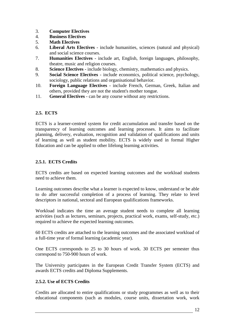- 3. **Computer Electives**
- 4. **Business Electives**
- 5. **Math Electives**
- 6. **Liberal Arts Electives** include humanities, sciences (natural and physical) and social science courses.
- 7. **Humanities Electives** include art, English, foreign languages, philosophy, theatre, music and religion courses.
- 8. **Science Electives** include biology, chemistry, mathematics and physics.
- 9. **Social Science Electives** include economics, political science, psychology, sociology, public relations and organisational behavior.
- 10. **Foreign Language Electives** include French, German, Greek, Italian and others, provided they are not the student's mother tongue.
- 11. **General Electives** can be any course without any restrictions.

# **2.5. ECTS**

ECTS is a learner-centred system for credit accumulation and transfer based on the transparency of learning outcomes and learning processes. It aims to facilitate planning, delivery, evaluation, recognition and validation of qualifications and units of learning as well as student mobility. ECTS is widely used in formal Higher Education and can be applied to other lifelong learning activities.

# **2.5.1. ECTS Credits**

ECTS credits are based on expected learning outcomes and the workload students need to achieve them.

Learning outcomes describe what a learner is expected to know, understand or be able to do after successful completion of a process of learning. They relate to level descriptors in national, sectoral and European qualifications frameworks.

Workload indicates the time an average student needs to complete all learning activities (such as lectures, seminars, projects, practical work, exams, self-study, etc.) required to achieve the expected learning outcomes.

60 ECTS credits are attached to the learning outcomes and the associated workload of a full-time year of formal learning (academic year).

One ECTS corresponds to 25 to 30 hours of work. 30 ECTS per semester thus correspond to 750-900 hours of work.

The University participates in the European Credit Transfer System (ECTS) and awards ECTS credits and Diploma Supplements.

# **2.5.2. Use of ECTS Credits**

Credits are allocated to entire qualifications or study programmes as well as to their educational components (such as modules, course units, dissertation work, work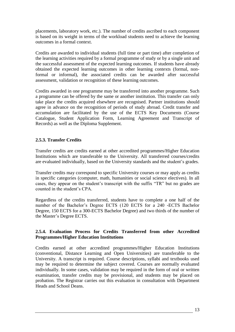placements, laboratory work, etc.). The number of credits ascribed to each component is based on its weight in terms of the workload students need to achieve the learning outcomes in a formal context.

Credits are awarded to individual students (full time or part time) after completion of the learning activities required by a formal programme of study or by a single unit and the successful assessment of the expected learning outcomes. If students have already obtained the expected learning outcomes in other learning contexts (formal, nonformal or informal), the associated credits can be awarded after successful assessment, validation or recognition of these learning outcomes.

Credits awarded in one programme may be transferred into another programme. Such a programme can be offered by the same or another institution. This transfer can only take place the credits acquired elsewhere are recognised. Partner institutions should agree in advance on the recognition of periods of study abroad. Credit transfer and accumulation are facilitated by the use of the ECTS Key Documents (Course Catalogue, Student Application Form, Learning Agreement and Transcript of Records) as well as the Diploma Supplement.

# **2.5.3. Transfer Credits**

Transfer credits are credits earned at other accredited programmes/Higher Education Institutions which are transferable to the University. All transferred courses/credits are evaluated individually, based on the University standards and the student's grades.

Transfer credits may correspond to specific University courses or may apply as credits in specific categories (computer, math, humanities or social science electives). In all cases, they appear on the student's transcript with the suffix "TR" but no grades are counted in the student's CPA.

Regardless of the credits transferred, students have to complete a one half of the number of the Bachelor's Degree ECTS (120 ECTS for a 240 -ECTS Bachelor Degree, 150 ECTS for a 300-ECTS Bachelor Degree) and two thirds of the number of the Master's Degree ECTS.

#### **2.5.4. Evaluation Process for Credits Transferred from other Accredited Programmes/Higher Education Institutions**

Credits earned at other accredited programmes/Higher Education Institutions (conventional, Distance Learning and Open Universities) are transferable to the University. A transcript is required. Course descriptions, syllabi and textbooks used may be required to determine the subject covered. Courses are normally evaluated individually. In some cases, validation may be required in the form of oral or written examination, transfer credits may be provisional, and students may be placed on probation. The Registrar carries out this evaluation in consultation with Department Heads and School Deans.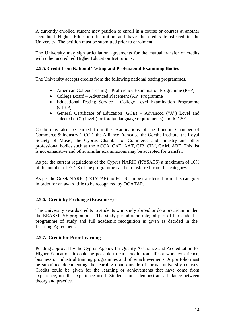A currently enrolled student may petition to enroll in a course or courses at another accredited Higher Education Institution and have the credits transferred to the University. The petition must be submitted prior to enrolment.

The University may sign articulation agreements for the mutual transfer of credits with other accredited Higher Education Institutions.

### **2.5.5. Credit from National Testing and Professional Examining Bodies**

The University accepts credits from the following national testing programmes.

- American College Testing Proficiency Examination Programme (PEP)
- College Board Advanced Placement (AP) Programme
- Educational Testing Service College Level Examination Programme (CLEP)
- General Certificate of Education (GCE) Advanced ("A") Level and selected ("O") level (for foreign language requirements) and IGCSE.

Credit may also be earned from the examinations of the London Chamber of Commerce & Industry (LCCI), the Alliance Francaise, the Goethe Institute, the Royal Society of Music, the Cyprus Chamber of Commerce and Industry and other professional bodies such as the ACCA, CAT, AAT, CIB, CIM, CAM, ABE. This list is not exhaustive and other similar examinations may be accepted for transfer.

As per the current regulations of the Cyprus NARIC (KYSATS) a maximum of 10% of the number of ECTS of the programme can be transferred from this category.

As per the Greek NARIC (DOATAP) no ECTS can be transferred from this category in order for an award title to be recognized by DOATAP.

#### **2.5.6. Credit by Exchange (Erasmus+)**

The University awards credits to students who study abroad or do a practicum under the ERASMUS+ programme. The study period is an integral part of the student's programme of study and full academic recognition is given as decided in the Learning Agreement.

#### **2.5.7. Credit for Prior Learning**

Pending approval by the Cyprus Agency for Quality Assurance and Accreditation for Higher Education, it could be possible to earn credit from life or work experience, business or industrial training programmes and other achievements. A portfolio must be submitted documenting the learning done outside of formal university courses. Credits could be given for the learning or achievements that have come from experience, not the experience itself. Students must demonstrate a balance between theory and practice.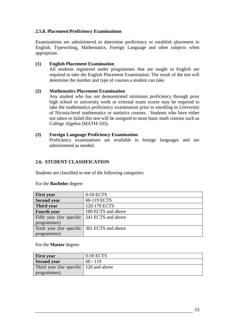#### **2.5.8. Placement/Proficiency Examinations**

Examinations are administered to determine proficiency or establish placement in English, Typewriting, Mathematics, Foreign Language and other subjects when appropriate.

# **(1) English Placement Examination**

All students registered under programmes that are taught in English are required to take the English Placement Examination. The result of the test will determine the number and type of courses a student can take.

#### **(2) Mathematics Placement Examination**

Any student who has not demonstrated minimum proficiency through prior high school or university work or external exam scores may be required to take the mathematics proficiency examination prior to enrolling in University of Nicosia-level mathematics or statistics courses. Students who have either not taken or failed this test will be assigned to most basic math courses such as College Algebra (MATH-105).

#### **(3) Foreign Language Proficiency Examination**

Proficiency examinations are available in foreign languages and are administered as needed.

# **2.6. STUDENT CLASSIFICATION**

Students are classified in one of the following categories:

| <b>First year</b>                           | 0-59 ECTS          |
|---------------------------------------------|--------------------|
| <b>Second year</b>                          | 60-119 ECTS        |
| Third year                                  | 120-179 ECTS       |
| <b>Fourth year</b>                          | 180 ECTS and above |
| Fifth year (for specific 241 ECTS and above |                    |
| programmes)                                 |                    |
| Sixth year (for specific 301 ECTS and above |                    |
| programmes)                                 |                    |

For the **Bachelor** degree:

#### For the **Master** degree:

| <b>First year</b>                      | 0-59 ECTS  |
|----------------------------------------|------------|
| Second year                            | $60 - 119$ |
| Third year (for specific 120 and above |            |
| programmes)                            |            |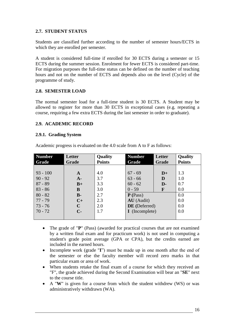# **2.7. STUDENT STATUS**

Students are classified further according to the number of semester hours/ECTS in which they are enrolled per semester.

A student is considered full-time if enrolled for 30 ECTS during a semester or 15 ECTS during the summer session. Enrolment for fewer ECTS is considered part-time. For migration purposes the full-time status can be defined on the number of teaching hours and not on the number of ECTS and depends also on the level (Cycle) of the programme of study.

#### **2.8. SEMESTER LOAD**

The normal semester load for a full-time student is 30 ECTS. A Student may be allowed to register for more than 30 ECTS in exceptional cases (e.g. repeating a course, requiring a few extra ECTS during the last semester in order to graduate).

#### **2.9. ACADEMIC RECORD**

#### **2.9.1. Grading System**

Academic progress is evaluated on the 4.0 scale from A to F as follows:

| <b>Number</b> | Letter      | <b>Quality</b> | <b>Number</b>         | Letter       | <b>Quality</b> |
|---------------|-------------|----------------|-----------------------|--------------|----------------|
| Grade         | Grade       | <b>Points</b>  | Grade                 | Grade        | <b>Points</b>  |
|               |             |                |                       |              |                |
| $93 - 100$    | A           | 4.0            | $67 - 69$             | $D+$         | 1.3            |
| $90 - 92$     | $A-$        | 3.7            | $63 - 66$             | D            | 1.0            |
| $87 - 89$     | $B+$        | 3.3            | $60 - 62$             | $\mathbf{D}$ | 0.7            |
| $83 - 86$     | B           | 3.0            | $0 - 59$              | $\mathbf{F}$ | 0.0            |
| $80 - 82$     | $B -$       | 2.7            | $P$ (Pass)            |              | 0.0            |
| $77 - 79$     | $C+$        | 2.3            | AU (Audit)            |              | 0.0            |
| $73 - 76$     | $\mathbf C$ | 2.0            | DE (Deferred)         |              | 0.0            |
| $70 - 72$     | $C-$        | 1.7            | <b>I</b> (Incomplete) |              | 0.0            |
|               |             |                |                       |              |                |

- The grade of "**P**" (Pass) (awarded for practical courses that are not examined by a written final exam and for practicum work) is not used in computing a student's grade point average (GPA or CPA), but the credits earned are included in the earned hours.
- Incomplete work (grade "**I**") must be made up in one month after the end of the semester or else the faculty member will record zero marks in that particular exam or area of work.
- When students retake the final exam of a course for which they received an "F", the grade achieved during the Second Examination will bear an "**SE**" next to the course title.
- A "**W**" is given for a course from which the student withdrew (WS) or was administratively withdrawn (WA).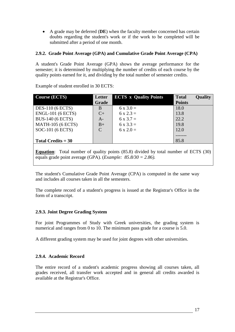A grade may be deferred (**DE**) when the faculty member concerned has certain doubts regarding the student's work or if the work to be completed will be submitted after a period of one month.

# **2.9.2. Grade Point Average (GPA) and Cumulative Grade Point Average (CPA)**

A student's Grade Point Average (GPA) shows the average performance for the semester; it is determined by multiplying the number of credits of each course by the quality points earned for it, and dividing by the total number of semester credits.

| <b>Course (ECTS)</b>     | Letter<br>Grade | <b>ECTS x Quality Points</b> | <b>Total</b><br><b>Points</b> | <b>Quality</b> |
|--------------------------|-----------------|------------------------------|-------------------------------|----------------|
| <b>DES-110 (6 ECTS)</b>  | B               | $6 \times 3.0 =$             | 18.0                          |                |
| <b>ENGL-101 (6 ECTS)</b> | $C+$            | $6 \times 2.3 =$             | 13.8                          |                |
| <b>BUS-140 (6 ECTS)</b>  | $A-$            | $6 \times 3.7 =$             | 22.2                          |                |
| <b>MATH-105 (6 ECTS)</b> | $B+$            | $6x3.3 =$                    | 19.8                          |                |
| SOC-101 (6 ECTS)         | $\mathcal{C}$   | $6 \times 2.0 =$             | 12.0                          |                |
|                          |                 |                              |                               |                |
| Total Credits $=$ 30     |                 |                              | 85.8                          |                |
|                          |                 |                              |                               |                |

Example of student enrolled in 30 ECTS:

**Equation:** Total number of quality points (85.8) divided by total number of ECTS (30) equals grade point average (GPA). (*Example: 85.8/30 = 2.86).*

The student's Cumulative Grade Point Average (CPA) is computed in the same way and includes all courses taken in all the semesters.

The complete record of a student's progress is issued at the Registrar's Office in the form of a transcript.

# **2.9.3. Joint Degree Grading System**

For joint Programmes of Study with Greek universities, the grading system is numerical and ranges from 0 to 10. The minimum pass grade for a course is 5.0.

A different grading system may be used for joint degrees with other universities.

#### **2.9.4. Academic Record**

The entire record of a student's academic progress showing all courses taken, all grades received, all transfer work accepted and in general all credits awarded is available at the Registrar's Office.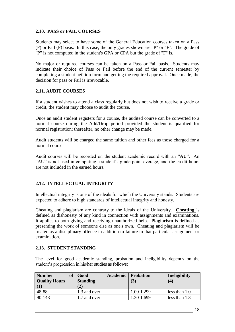### **2.10. PASS or FAIL COURSES**

Students may select to have some of the General Education courses taken on a Pass (P) or Fail (F) basis. In this case, the only grades shown are "P" or "F". The grade of "P" is not computed in the student's GPA or CPA but the grade of "F" is.

No major or required courses can be taken on a Pass or Fail basis. Students may indicate their choice of Pass or Fail before the end of the current semester by completing a student petition form and getting the required approval. Once made, the decision for pass or Fail is irrevocable.

# **2.11. AUDIT COURSES**

If a student wishes to attend a class regularly but does not wish to receive a grade or credit, the student may choose to audit the course.

Once an audit student registers for a course, the audited course can be converted to a normal course during the Add/Drop period provided the student is qualified for normal registration; thereafter, no other change may be made.

Audit students will be charged the same tuition and other fees as those charged for a normal course.

Audit courses will be recorded on the student academic record with an "**AU**". An "AU" is not used in computing a student's grade point average, and the credit hours are not included in the earned hours.

#### **2.12. INTELLECTUAL INTEGRITY**

Intellectual integrity is one of the ideals for which the University stands. Students are expected to adhere to high standards of intellectual integrity and honesty.

Cheating and plagiarism are contrary to the ideals of the University. **Cheating** is defined as dishonesty of any kind in connection with assignments and examinations. It applies to both giving and receiving unauthorized help. **Plagiarism** is defined as presenting the work of someone else as one's own. Cheating and plagiarism will be treated as a disciplinary offence in addition to failure in that particular assignment or examination.

#### **2.13. STUDENT STANDING**

The level for good academic standing, probation and ineligibility depends on the student's progression in his/her studies as follows:

| <b>Number</b><br><b>of</b><br><b>Quality Hours</b> | Good<br><b>Standing</b> | <b>Academic</b>   Probation<br>(3) | Ineligibility<br>(4) |
|----------------------------------------------------|-------------------------|------------------------------------|----------------------|
| $\vert$ (1)<br>48-88                               | (2)<br>1.3 and over     | 1.00-1.299                         | less than $1.0$      |
| 90-148                                             | 1.7 and over            | 1.30-1.699                         | less than $1.3$      |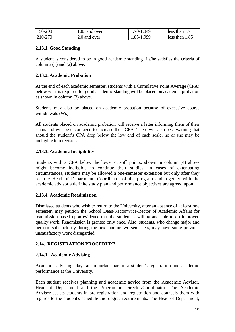| 150-208 | 1.85 and over | 1.70-1.849 | less than 1.7    |
|---------|---------------|------------|------------------|
| 210-270 | 2.0 and over  | 1.85-1.999 | less than $1.85$ |

# **2.13.1. Good Standing**

A student is considered to be in good academic standing if s/he satisfies the criteria of columns (1) and (2) above.

# **2.13.2. Academic Probation**

At the end of each academic semester, students with a Cumulative Point Average (CPA) below what is required for good academic standing will be placed on academic probation as shown in column (3) above.

Students may also be placed on academic probation because of excessive course withdrawals (Ws).

All students placed on academic probation will receive a letter informing them of their status and will be encouraged to increase their CPA. There will also be a warning that should the student's CPA drop below the low end of each scale, he or she may be ineligible to reregister.

# **2.13.3. Academic Ineligibility**

Students with a CPA below the lower cut-off points, shown in column (4) above might become ineligible to continue their studies. In cases of extenuating circumstances, students may be allowed a one-semester extension but only after they see the Head of Department, Coordinator of the program and together with the academic advisor a definite study plan and performance objectives are agreed upon.

#### **2.13.4. Academic Readmission**

Dismissed students who wish to return to the University, after an absence of at least one semester, may petition the School Dean/Rector/Vice-Rector of Academic Affairs for readmission based upon evidence that the student is willing and able to do improved quality work. Readmission is granted only once. Also, students, who change major and perform satisfactorily during the next one or two semesters, may have some previous unsatisfactory work disregarded.

# **2.14. REGISTRATION PROCEDURE**

# **2.14.1. Academic Advising**

Academic advising plays an important part in a student's registration and academic performance at the University.

Each student receives planning and academic advice from the Academic Advisor, Head of Department and the Programme Director/Coordinator. The Academic Advisor assists students in pre-registration and registration and counsels them with regards to the student's schedule and degree requirements. The Head of Department,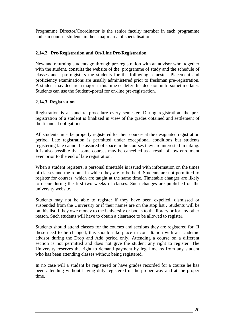Programme Director/Coordinator is the senior faculty member in each programme and can counsel students in their major area of specialisation.

### **2.14.2. Pre-Registration and On-Line Pre-Registration**

New and returning students go through pre-registration with an advisor who, together with the student, consults the website of the programme of study and the schedule of classes and pre-registers the students for the following semester. Placement and proficiency examinations are usually administered prior to freshman pre-registration. A student may declare a major at this time or defer this decision until sometime later. Students can use the Student-portal for on-line pre-registration.

#### **2.14.3. Registration**

Registration is a standard procedure every semester. During registration, the preregistration of a student is finalized in view of the grades obtained and settlement of the financial obligations.

All students must be properly registered for their courses at the designated registration period. Late registration is permitted under exceptional conditions but students registering late cannot be assured of space in the courses they are interested in taking. It is also possible that some courses may be cancelled as a result of low enrolment even prior to the end of late registration.

When a student registers, a personal timetable is issued with information on the times of classes and the rooms in which they are to be held. Students are not permitted to register for courses, which are taught at the same time. Timetable changes are likely to occur during the first two weeks of classes. Such changes are published on the university website.

Students may not be able to register if they have been expelled, dismissed or suspended from the University or if their names are on the stop list . Students will be on this list if they owe money to the University or books to the library or for any other reason. Such students will have to obtain a clearance to be allowed to register.

Students should attend classes for the courses and sections they are registered for. If these need to be changed, this should take place in consultation with an academic advisor during the Drop and Add period only. Attending a course on a different section is not permitted and does not give the student any right to register. The University reserves the right to demand payment by legal means from any student who has been attending classes without being registered.

In no case will a student be registered or have grades recorded for a course he has been attending without having duly registered in the proper way and at the proper time.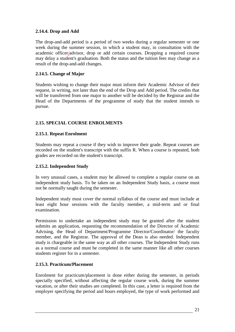# **2.14.4. Drop and Add**

The drop-and-add period is a period of two weeks during a regular semester or one week during the summer session, in which a student may, in consultation with the academic officer/advisor, drop or add certain courses. Dropping a required course may delay a student's graduation. Both the status and the tuition fees may change as a result of the drop-and-add changes.

### **2.14.5. Change of Major**

Students wishing to change their major must inform their Academic Advisor of their request, in writing, not later than the end of the Drop and Add period. The credits that will be transferred from one major to another will be decided by the Registrar and the Head of the Departments of the programme of study that the student intends to pursue.

# **2.15. SPECIAL COURSE ENROLMENTS**

# **2.15.1. Repeat Enrolment**

Students may repeat a course if they wish to improve their grade. Repeat courses are recorded on the student's transcript with the suffix R. When a course is repeated, both grades are recorded on the student's transcript.

### **2.15.2. Independent Study**

In very unusual cases, a student may be allowed to complete a regular course on an independent study basis. To be taken on an Independent Study basis, a course must not be normally taught during the semester.

Independent study must cover the normal syllabus of the course and must include at least eight hour sessions with the faculty member, a mid-term and or final examination.

Permission to undertake an independent study may be granted after the student submits an application, requesting the recommendation of the Director of Academic Advising, the Head of Department/Programme Director/Coordinator/ the faculty member, and the Registrar. The approval of the Dean is also needed. Independent study is chargeable in the same way as all other courses. The Independent Study runs as a normal course and must be completed in the same manner like all other courses students register for in a semester.

#### **2.15.3. Practicum/Placement**

Enrolment for practicum/placement is done either during the semester, in periods specially specified, without affecting the regular course work, during the summer vacation, or after their studies are completed. In this case, a letter is required from the employer specifying the period and hours employed, the type of work performed and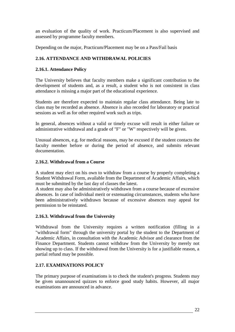an evaluation of the quality of work. Practicum/Placement is also supervised and assessed by programme faculty members.

Depending on the major, Practicum/Placement may be on a Pass/Fail basis

# **2.16. ATTENDANCE AND WITHDRAWAL POLICIES**

# **2.16.1. Attendance Policy**

The University believes that faculty members make a significant contribution to the development of students and, as a result, a student who is not consistent in class attendance is missing a major part of the educational experience.

Students are therefore expected to maintain regular class attendance. Being late to class may be recorded as absence. Absence is also recorded for laboratory or practical sessions as well as for other required work such as trips.

In general, absences without a valid or timely excuse will result in either failure or administrative withdrawal and a grade of "F" or "W" respectively will be given.

Unusual absences, e.g. for medical reasons, may be excused if the student contacts the faculty member before or during the period of absence, and submits relevant documentation.

# **2.16.2. Withdrawal from a Course**

A student may elect on his own to withdraw from a course by properly completing a Student Withdrawal Form, available from the Department of Academic Affairs, which must be submitted by the last day of classes the latest.

A student may also be administratively withdrawn from a course because of excessive absences. In case of individual merit or extenuating circumstances, students who have been administratively withdrawn because of excessive absences may appeal for permission to be reinstated.

# **2.16.3. Withdrawal from the University**

Withdrawal from the University requires a written notification (filling in a "withdrawal form" through the university portal by the student to the Department of Academic Affairs, in consultation with the Academic Advisor and clearance from the Finance Department. Students cannot withdraw from the University by merely not showing up to class. If the withdrawal from the University is for a justifiable reason, a partial refund may be possible.

# **2.17. EXAMINATIONS POLICY**

The primary purpose of examinations is to check the student's progress. Students may be given unannounced quizzes to enforce good study habits. However, all major examinations are announced in advance.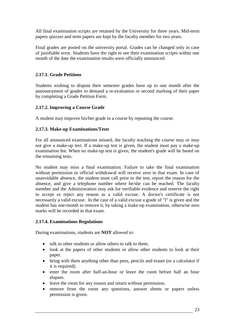All final examination scripts are retained by the University for three years. Mid-term papers quizzes and term papers are kept by the faculty member for two years.

Final grades are posted on the university portal. Grades can be changed only in case of justifiable error. Students have the right to see their examination scripts within one month of the date the examination results were officially announced.

# **2.17.1. Grade Petitions**

Students wishing to dispute their semester grades have up to one month after the announcement of grades to demand a re-evaluation or second marking of their paper by completing a Grade Petition Form.

# **2.17.2. Improving a Course Grade**

A student may improve his/her grade in a course by repeating the course.

#### **2.17.3. Make-up Examinations/Tests**

For all announced examinations missed, the faculty teaching the course may or may not give a make-up test. If a make-up test is given, the student must pay a make-up examination fee. When no make-up test is given, the student's grade will be based on the remaining tests.

No student may miss a final examination. Failure to take the final examination without permission or official withdrawal will receive zero in that exam. In case of unavoidable absence, the student must call prior to the test, report the reason for the absence, and give a telephone number where he/she can be reached. The faculty member and the Administration may ask for verifiable evidence and reserve the right to accept or reject any reason as a valid excuse. A doctor's certificate is not necessarily a valid excuse. In the case of a valid excuse a grade of "I" is given and the student has one-month to remove it, by taking a make-up examination, otherwise zero marks will be recorded in that exam.

#### **2.17.4. Examinations Regulations**

During examinations, students are **NOT** allowed to:

- talk to other students or allow others to talk to them.
- look at the papers of other students or allow other students to look at their paper.
- bring with them anything other than pens, pencils and eraser (or a calculator if it is required).
- enter the room after half-an-hour or leave the room before half an hour elapses.
- leave the room for any reason and return without permission.
- remove from the room any questions, answer sheets or papers unless permission is given.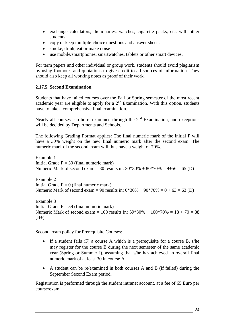- exchange calculators, dictionaries, watches, cigarette packs, etc. with other students.
- copy or keep multiple-choice questions and answer sheets
- smoke, drink, eat or make noise
- use mobile/smartphones, smartwatches, tablets or other smart devices.

For term papers and other individual or group work, students should avoid plagiarism by using footnotes and quotations to give credit to all sources of information. They should also keep all working notes as proof of their work.

# **2.17.5. Second Examination**

Students that have failed courses over the Fall or Spring semester of the most recent academic year are eligible to apply for a 2nd Examination. With this option, students have to take a comprehensive final examination.

Nearly all courses can be re-examined through the  $2<sup>nd</sup>$  Examination, and exceptions will be decided by Departments and Schools.

The following Grading Format applies: The final numeric mark of the initial F will have a 30% weight on the new final numeric mark after the second exam. The numeric mark of the second exam will thus have a weight of 70%.

Example 1 Initial Grade  $F = 30$  (final numeric mark) Numeric Mark of second exam = 80 results in:  $30*30% + 80*70% = 9+56 = 65$  (D)

Example 2 Initial Grade  $F = 0$  (final numeric mark) Numeric Mark of second exam = 90 results in:  $0*30% + 90*70% = 0 + 63 = 63$  (D)

Example 3 Initial Grade  $F = 59$  (final numeric mark) Numeric Mark of second exam = 100 results in:  $59*30% + 100*70% = 18 + 70 = 88$  $(B+)$ 

Second exam policy for Prerequisite Courses:

- If a student fails (F) a course A which is a prerequisite for a course B, s/he may register for the course B during the next semester of the same academic year (Spring or Summer I), assuming that s/he has achieved an overall final numeric mark of at least 30 in course A.
- A student can be re/examined in both courses A and B (if failed) during the September Second Exam period.

Registration is performed through the student intranet account, at a fee of 65 Euro per course/exam.